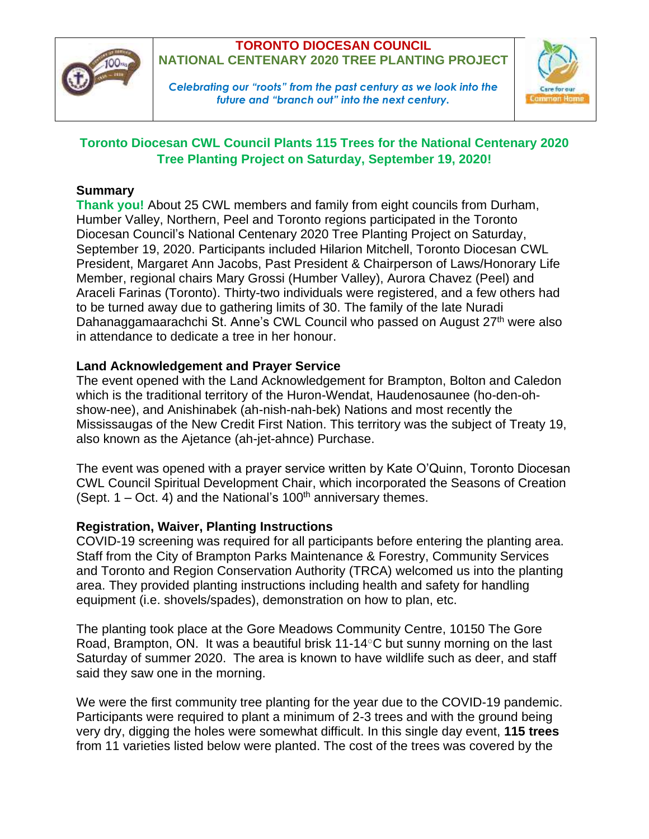

## **TORONTO DIOCESAN COUNCIL NATIONAL CENTENARY 2020 TREE PLANTING PROJECT**

*Celebrating our "roots" from the past century as we look into the future and "branch out" into the next century.*



## **Toronto Diocesan CWL Council Plants 115 Trees for the National Centenary 2020 Tree Planting Project on Saturday, September 19, 2020!**

## **Summary**

**Thank you!** About 25 CWL members and family from eight councils from Durham, Humber Valley, Northern, Peel and Toronto regions participated in the Toronto Diocesan Council's National Centenary 2020 Tree Planting Project on Saturday, September 19, 2020. Participants included Hilarion Mitchell, Toronto Diocesan CWL President, Margaret Ann Jacobs, Past President & Chairperson of Laws/Honorary Life Member, regional chairs Mary Grossi (Humber Valley), Aurora Chavez (Peel) and Araceli Farinas (Toronto). Thirty-two individuals were registered, and a few others had to be turned away due to gathering limits of 30. The family of the late Nuradi Dahanaggamaarachchi St. Anne's CWL Council who passed on August 27<sup>th</sup> were also in attendance to dedicate a tree in her honour.

## **Land Acknowledgement and Prayer Service**

The event opened with the Land Acknowledgement for Brampton, Bolton and Caledon which is the traditional territory of the Huron-Wendat, Haudenosaunee (ho-den-ohshow-nee), and Anishinabek (ah-nish-nah-bek) Nations and most recently the Mississaugas of the New Credit First Nation. This territory was the subject of Treaty 19, also known as the Ajetance (ah-jet-ahnce) Purchase.

The event was opened with a prayer service written by Kate O'Quinn, Toronto Diocesan CWL Council Spiritual Development Chair, which incorporated the Seasons of Creation (Sept.  $1 - Oct. 4$ ) and the National's  $100<sup>th</sup>$  anniversary themes.

### **Registration, Waiver, Planting Instructions**

COVID-19 screening was required for all participants before entering the planting area. Staff from the City of Brampton Parks Maintenance & Forestry, Community Services and Toronto and Region Conservation Authority (TRCA) welcomed us into the planting area. They provided planting instructions including health and safety for handling equipment (i.e. shovels/spades), demonstration on how to plan, etc.

The planting took place at the Gore Meadows Community Centre, 10150 The Gore Road, Brampton, ON.It was a beautiful brisk 11-14○C but sunny morning on the last Saturday of summer 2020. The area is known to have wildlife such as deer, and staff said they saw one in the morning.

We were the first community tree planting for the year due to the COVID-19 pandemic. Participants were required to plant a minimum of 2-3 trees and with the ground being very dry, digging the holes were somewhat difficult. In this single day event, **115 trees** from 11 varieties listed below were planted. The cost of the trees was covered by the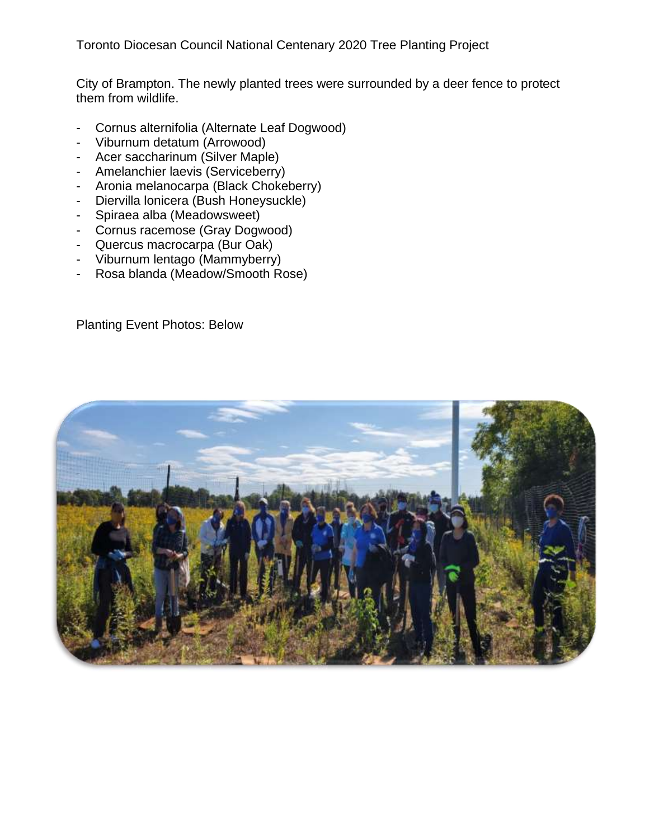City of Brampton. The newly planted trees were surrounded by a deer fence to protect them from wildlife.

- Cornus alternifolia (Alternate Leaf Dogwood)
- Viburnum detatum (Arrowood)
- Acer saccharinum (Silver Maple)
- Amelanchier laevis (Serviceberry)
- Aronia melanocarpa (Black Chokeberry)
- Diervilla lonicera (Bush Honeysuckle)
- Spiraea alba (Meadowsweet)
- Cornus racemose (Gray Dogwood)
- Quercus macrocarpa (Bur Oak)
- Viburnum lentago (Mammyberry)
- Rosa blanda (Meadow/Smooth Rose)

Planting Event Photos: Below

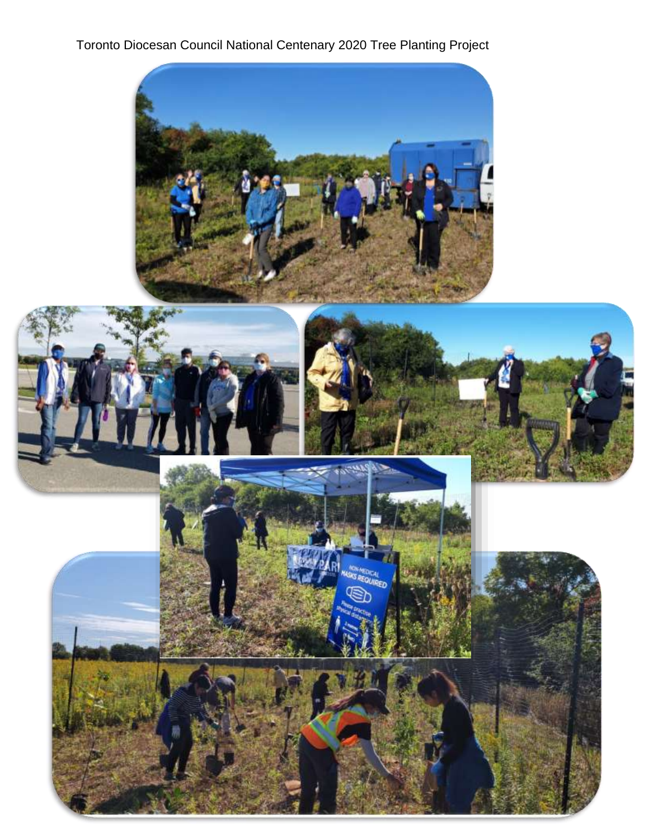# Toronto Diocesan Council National Centenary 2020 Tree Planting Project

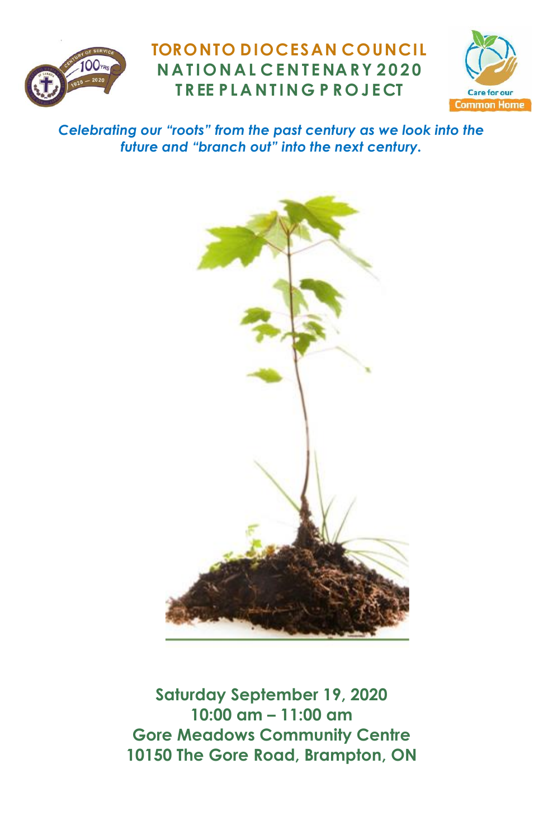

## **TORONTO DIOCESAN COUNCIL N A T I O N A L C E N T E NA RY 2 0 2 0 T R EE P L A N T I N G P R O J E CT**



*Celebrating our "roots" from the past century as we look into the future and "branch out" into the next century.*



**Saturday September 19, 2020 10:00 am – 11:00 am Gore Meadows Community Centre 10150 The Gore Road, Brampton, ON**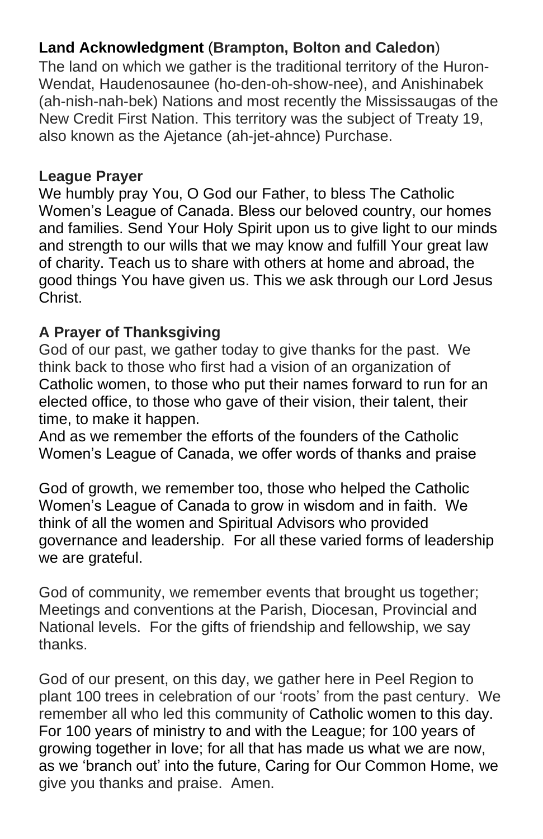## **Land Acknowledgment** (**Brampton, Bolton and Caledon**)

The land on which we gather is the traditional territory of the Huron-Wendat, Haudenosaunee (ho-den-oh-show-nee), and Anishinabek (ah-nish-nah-bek) Nations and most recently the Mississaugas of the New Credit First Nation. This territory was the subject of Treaty 19, also known as the Ajetance (ah-jet-ahnce) Purchase.

#### **League Prayer**

We humbly pray You, O God our Father, to bless The Catholic Women's League of Canada. Bless our beloved country, our homes and families. Send Your Holy Spirit upon us to give light to our minds and strength to our wills that we may know and fulfill Your great law of charity. Teach us to share with others at home and abroad, the good things You have given us. This we ask through our Lord Jesus Christ.

#### **A Prayer of Thanksgiving**

God of our past, we gather today to give thanks for the past. We think back to those who first had a vision of an organization of Catholic women, to those who put their names forward to run for an elected office, to those who gave of their vision, their talent, their time, to make it happen.

And as we remember the efforts of the founders of the Catholic Women's League of Canada, we offer words of thanks and praise

God of growth, we remember too, those who helped the Catholic Women's League of Canada to grow in wisdom and in faith. We think of all the women and Spiritual Advisors who provided governance and leadership. For all these varied forms of leadership we are grateful.

God of community, we remember events that brought us together; Meetings and conventions at the Parish, Diocesan, Provincial and National levels. For the gifts of friendship and fellowship, we say thanks.

God of our present, on this day, we gather here in Peel Region to plant 100 trees in celebration of our 'roots' from the past century. We remember all who led this community of Catholic women to this day. For 100 years of ministry to and with the League; for 100 years of growing together in love; for all that has made us what we are now, as we 'branch out' into the future, Caring for Our Common Home, we give you thanks and praise. Amen.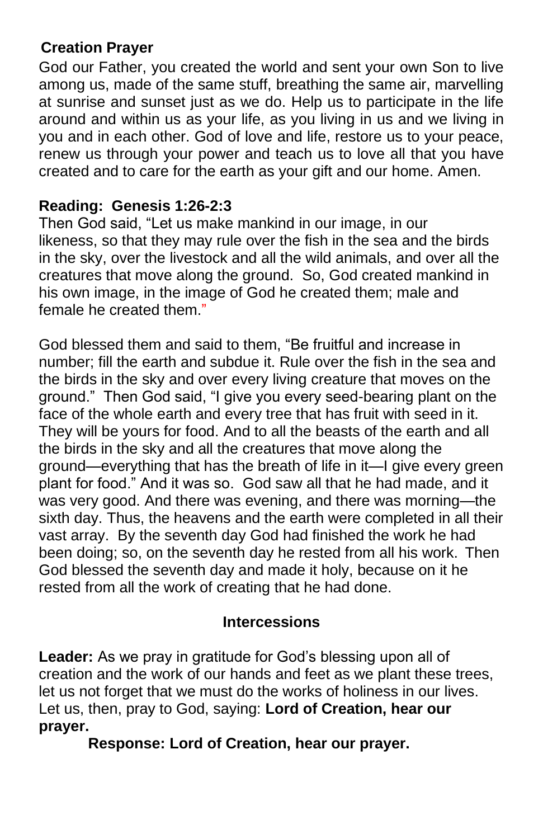#### **Creation Prayer**

God our Father, you created the world and sent your own Son to live among us, made of the same stuff, breathing the same air, marvelling at sunrise and sunset just as we do. Help us to participate in the life around and within us as your life, as you living in us and we living in you and in each other. God of love and life, restore us to your peace, renew us through your power and teach us to love all that you have created and to care for the earth as your gift and our home. Amen.

#### **Reading: Genesis 1:26-2:3**

Then God said, "Let us make mankind in our image, in our likeness, so that they may rule over the fish in the sea and the birds in the sky, over the livestock and all the wild animals, and over all the creatures that move along the ground. So, God created mankind in his own image, in the image of God he created them; male and female he created them."

God blessed them and said to them, "Be fruitful and increase in number; fill the earth and subdue it. Rule over the fish in the sea and the birds in the sky and over every living creature that moves on the ground." Then God said, "I give you every seed-bearing plant on the face of the whole earth and every tree that has fruit with seed in it. They will be yours for food. And to all the beasts of the earth and all the birds in the sky and all the creatures that move along the ground—everything that has the breath of life in it—I give every green plant for food." And it was so. God saw all that he had made, and it was very good. And there was evening, and there was morning—the sixth day. Thus, the heavens and the earth were completed in all their vast array. By the seventh day God had finished the work he had been doing; so, on the seventh day he rested from all his work. Then God blessed the seventh day and made it holy, because on it he rested from all the work of creating that he had done.

#### **Intercessions**

**Leader:** As we pray in gratitude for God's blessing upon all of creation and the work of our hands and feet as we plant these trees, let us not forget that we must do the works of holiness in our lives. Let us, then, pray to God, saying: **Lord of Creation, hear our prayer.**

**Response: Lord of Creation, hear our prayer.**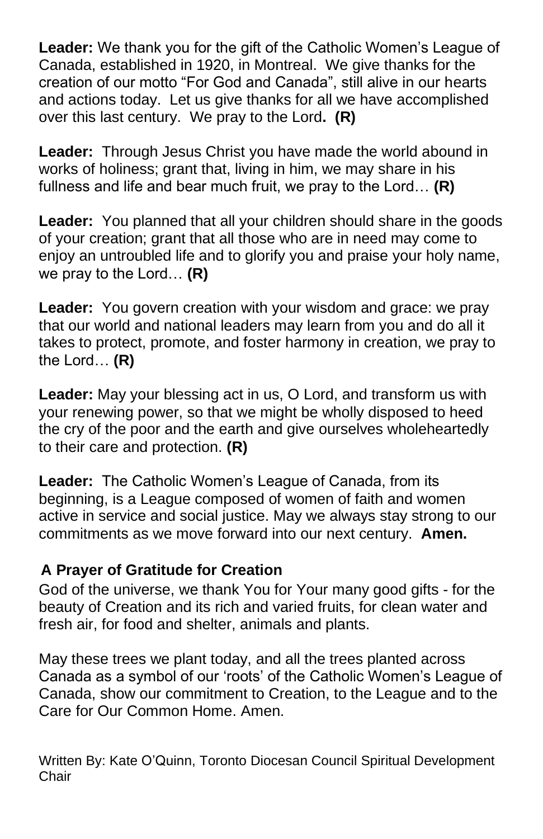**Leader:** We thank you for the gift of the Catholic Women's League of Canada, established in 1920, in Montreal. We give thanks for the creation of our motto "For God and Canada", still alive in our hearts and actions today. Let us give thanks for all we have accomplished over this last century. We pray to the Lord**. (R)**

**Leader:** Through Jesus Christ you have made the world abound in works of holiness; grant that, living in him, we may share in his fullness and life and bear much fruit, we pray to the Lord… **(R)**

**Leader:** You planned that all your children should share in the goods of your creation; grant that all those who are in need may come to enjoy an untroubled life and to glorify you and praise your holy name, we pray to the Lord… **(R)** 

**Leader:** You govern creation with your wisdom and grace: we pray that our world and national leaders may learn from you and do all it takes to protect, promote, and foster harmony in creation, we pray to the Lord… **(R)**

**Leader:** May your blessing act in us, O Lord, and transform us with your renewing power, so that we might be wholly disposed to heed the cry of the poor and the earth and give ourselves wholeheartedly to their care and protection. **(R)**

**Leader:** The Catholic Women's League of Canada, from its beginning, is a League composed of women of faith and women active in service and social justice. May we always stay strong to our commitments as we move forward into our next century. **Amen.**

#### **A Prayer of Gratitude for Creation**

God of the universe, we thank You for Your many good gifts - for the beauty of Creation and its rich and varied fruits, for clean water and fresh air, for food and shelter, animals and plants.

May these trees we plant today, and all the trees planted across Canada as a symbol of our 'roots' of the Catholic Women's League of Canada, show our commitment to Creation, to the League and to the Care for Our Common Home. Amen.

Written By: Kate O'Quinn, Toronto Diocesan Council Spiritual Development **Chair**